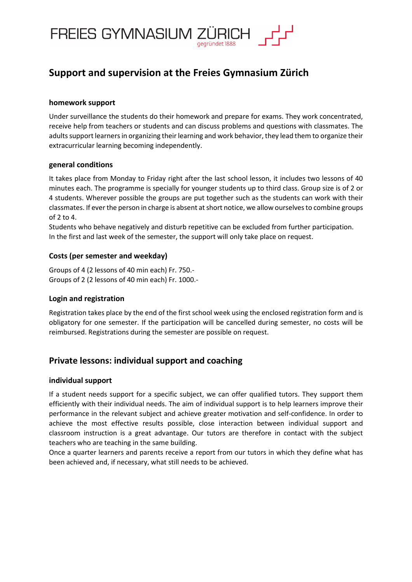

# **Support and supervision at the Freies Gymnasium Zürich**

# **homework support**

Under surveillance the students do their homework and prepare for exams. They work concentrated, receive help from teachers or students and can discuss problems and questions with classmates. The adults support learners in organizing their learning and work behavior, they lead them to organize their extracurricular learning becoming independently.

# **general conditions**

It takes place from Monday to Friday right after the last school lesson, it includes two lessons of 40 minutes each. The programme is specially for younger students up to third class. Group size is of 2 or 4 students. Wherever possible the groups are put together such as the students can work with their classmates. If ever the person in charge is absent at short notice, we allow ourselves to combine groups of  $2$  to  $4$ .

Students who behave negatively and disturb repetitive can be excluded from further participation. In the first and last week of the semester, the support will only take place on request.

# **Costs (per semester and weekday)**

Groups of 4 (2 lessons of 40 min each) Fr. 750.- Groups of 2 (2 lessons of 40 min each) Fr. 1000.-

# **Login and registration**

Registration takes place by the end of the first school week using the enclosed registration form and is obligatory for one semester. If the participation will be cancelled during semester, no costs will be reimbursed. Registrations during the semester are possible on request.

# **Private lessons: individual support and coaching**

#### **individual support**

If a student needs support for a specific subject, we can offer qualified tutors. They support them efficiently with their individual needs. The aim of individual support is to help learners improve their performance in the relevant subject and achieve greater motivation and self-confidence. In order to achieve the most effective results possible, close interaction between individual support and classroom instruction is a great advantage. Our tutors are therefore in contact with the subject teachers who are teaching in the same building.

Once a quarter learners and parents receive a report from our tutors in which they define what has been achieved and, if necessary, what still needs to be achieved.